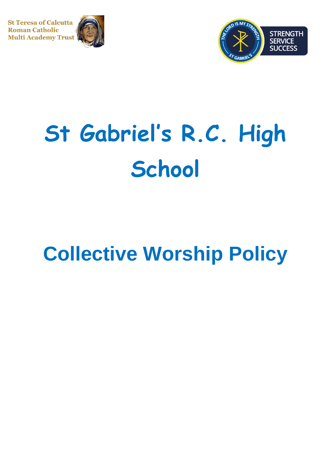**St Teresa of Calcutta Roman Catholic Multi Academy Trust** 





# **St Gabriel's R.C. High School**

# **Collective Worship Policy**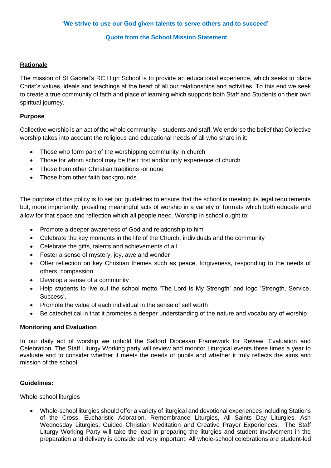#### **Quote from the School Mission Statement**

#### **Rationale**

The mission of St Gabriel's RC High School is to provide an educational experience, which seeks to place Christ's values, ideals and teachings at the heart of all our relationships and activities. To this end we seek to create a true community of faith and place of learning which supports both Staff and Students on their own spiritual journey.

## **Purpose**

Collective worship is an act of the whole community – students and staff. We endorse the belief that Collective worship takes into account the religious and educational needs of all who share in it:

- Those who form part of the worshipping community in church
- Those for whom school may be their first and/or only experience of church
- Those from other Christian traditions -or none
- Those from other faith backgrounds.

The purpose of this policy is to set out guidelines to ensure that the school is meeting its legal requirements but, more importantly, providing meaningful acts of worship in a variety of formats which both educate and allow for that space and reflection which all people need. Worship in school ought to:

- Promote a deeper awareness of God and relationship to him
- Celebrate the key moments in the life of the Church, individuals and the community
- Celebrate the gifts, talents and achievements of all
- Foster a sense of mystery, joy, awe and wonder
- Offer reflection on key Christian themes such as peace, forgiveness, responding to the needs of others, compassion
- Develop a sense of a community
- Help students to live out the school motto 'The Lord is My Strength' and logo 'Strength, Service, Success'.
- Promote the value of each individual in the sense of self worth
- Be catechetical in that it promotes a deeper understanding of the nature and vocabulary of worship

#### **Monitoring and Evaluation**

In our daily act of worship we uphold the Salford Diocesan Framework for Review, Evaluation and Celebration. The Staff Liturgy Working party will review and monitor Liturgical events three times a year to evaluate and to consider whether it meets the needs of pupils and whether it truly reflects the aims and mission of the school.

#### **Guidelines:**

Whole-school liturgies

• Whole-school liturgies should offer a variety of liturgical and devotional experiences including Stations of the Cross, Eucharistic Adoration, Remembrance Liturgies, All Saints Day Liturgies, Ash Wednesday Liturgies, Guided Christian Meditation and Creative Prayer Experiences. The Staff Liturgy Working Party will take the lead in preparing the liturgies and student involvement in the preparation and delivery is considered very important. All whole-school celebrations are student-led